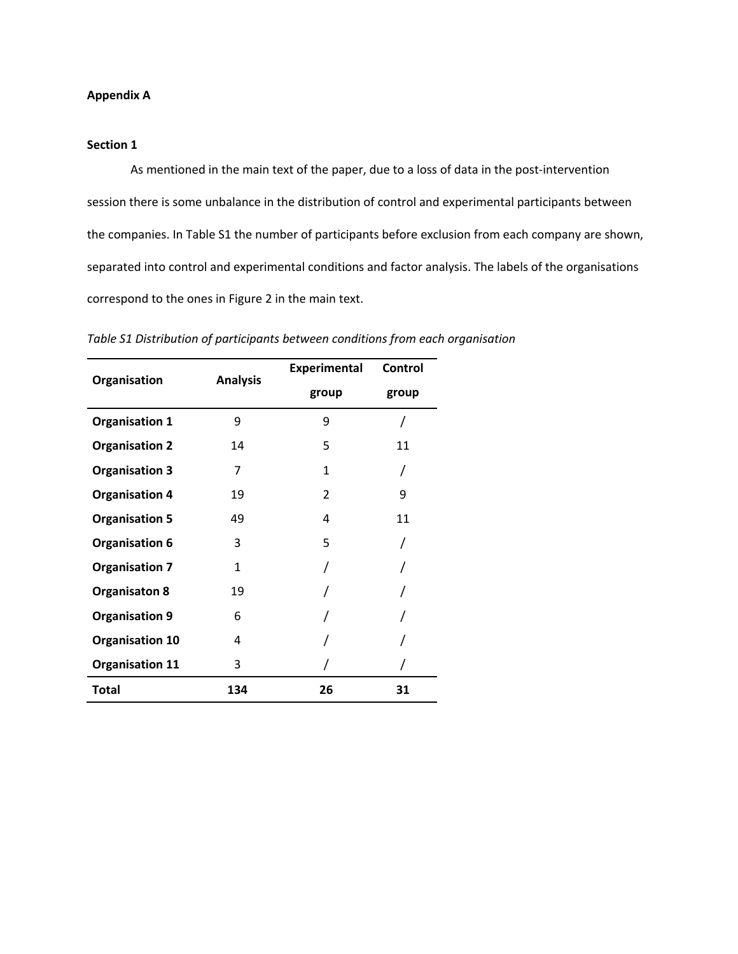# **Appendix A**

## **Section 1**

As mentioned in the main text of the paper, due to a loss of data in the post-intervention session there is some unbalance in the distribution of control and experimental participants between the companies. In Table S1 the number of participants before exclusion from each company are shown, separated into control and experimental conditions and factor analysis. The labels of the organisations correspond to the ones in Figure 2 in the main text.

| Organisation           | <b>Analysis</b> | <b>Experimental</b> | Control |
|------------------------|-----------------|---------------------|---------|
|                        |                 | group               | group   |
| <b>Organisation 1</b>  | 9               | 9                   |         |
| <b>Organisation 2</b>  | 14              | 5                   | 11      |
| <b>Organisation 3</b>  | 7               | 1                   |         |
| <b>Organisation 4</b>  | 19              | 2                   | 9       |
| <b>Organisation 5</b>  | 49              | 4                   | 11      |
| <b>Organisation 6</b>  | 3               | 5                   |         |
| <b>Organisation 7</b>  | 1               |                     |         |
| <b>Organisaton 8</b>   | 19              |                     |         |
| <b>Organisation 9</b>  | 6               |                     |         |
| <b>Organisation 10</b> | 4               |                     |         |
| <b>Organisation 11</b> | 3               |                     |         |
| <b>Total</b>           | 134             | 26                  | 31      |

*Table S1 Distribution of participants between conditions from each organisation*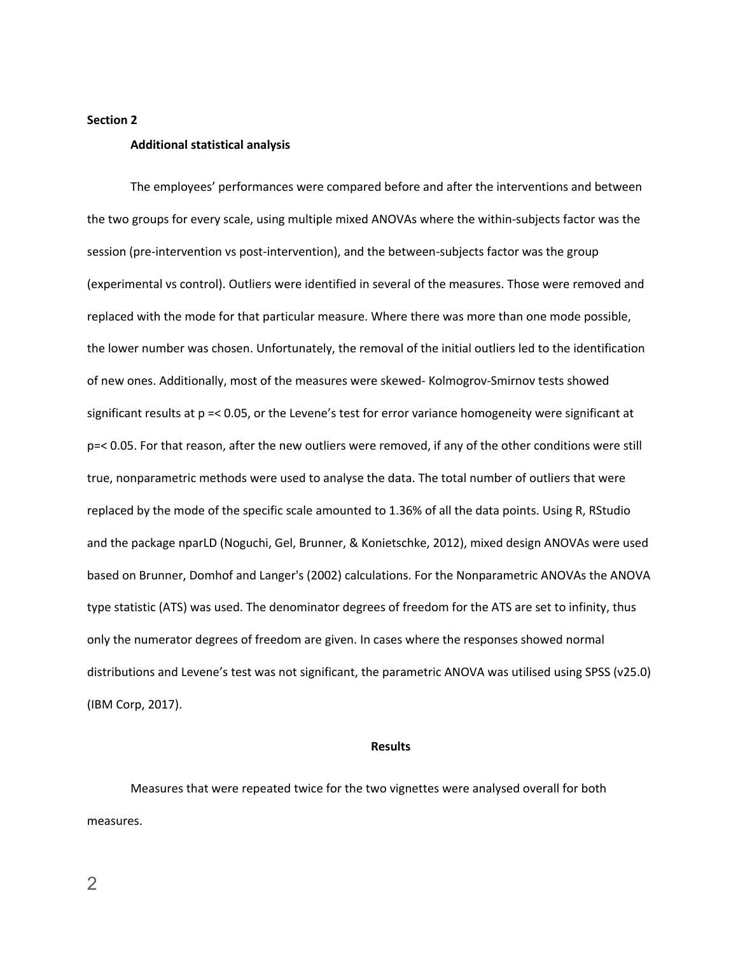#### **Section 2**

### **Additional statistical analysis**

The employees' performances were compared before and after the interventions and between the two groups for every scale, using multiple mixed ANOVAs where the within-subjects factor was the session (pre-intervention vs post-intervention), and the between-subjects factor was the group (experimental vs control). Outliers were identified in several of the measures. Those were removed and replaced with the mode for that particular measure. Where there was more than one mode possible, the lower number was chosen. Unfortunately, the removal of the initial outliers led to the identification of new ones. Additionally, most of the measures were skewed- Kolmogrov-Smirnov tests showed significant results at p =< 0.05, or the Levene's test for error variance homogeneity were significant at p=< 0.05. For that reason, after the new outliers were removed, if any of the other conditions were still true, nonparametric methods were used to analyse the data. The total number of outliers that were replaced by the mode of the specific scale amounted to 1.36% of all the data points. Using R, RStudio and the package nparLD (Noguchi, Gel, Brunner, & Konietschke, 2012), mixed design ANOVAs were used based on Brunner, Domhof and Langer's (2002) calculations. For the Nonparametric ANOVAs the ANOVA type statistic (ATS) was used. The denominator degrees of freedom for the ATS are set to infinity, thus only the numerator degrees of freedom are given. In cases where the responses showed normal distributions and Levene's test was not significant, the parametric ANOVA was utilised using SPSS (v25.0) (IBM Corp, 2017).

#### **Results**

Measures that were repeated twice for the two vignettes were analysed overall for both measures.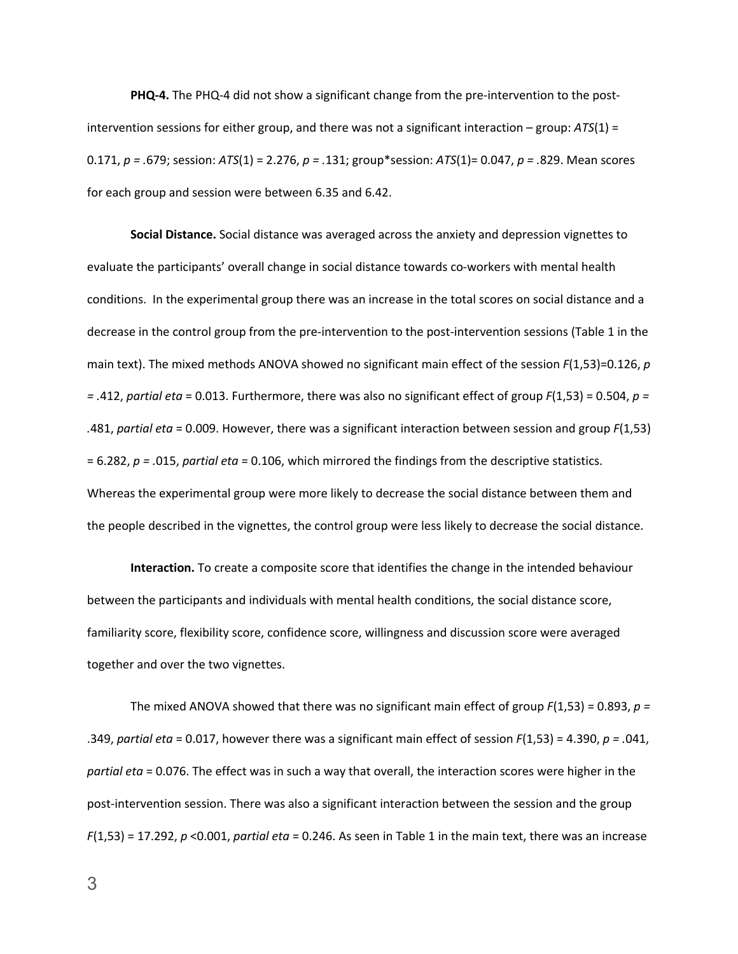**PHQ-4.** The PHQ-4 did not show a significant change from the pre-intervention to the postintervention sessions for either group, and there was not a significant interaction – group: *ATS*(1) = 0.171, *p = .*679; session: *ATS*(1) = 2.276, *p = .*131; group\*session: *ATS*(1)= 0.047, *p = .*829. Mean scores for each group and session were between 6.35 and 6.42.

**Social Distance.** Social distance was averaged across the anxiety and depression vignettes to evaluate the participants' overall change in social distance towards co-workers with mental health conditions. In the experimental group there was an increase in the total scores on social distance and a decrease in the control group from the pre-intervention to the post-intervention sessions (Table 1 in the main text). The mixed methods ANOVA showed no significant main effect of the session *F*(1,53)=0.126, *p = .*412, *partial eta* = 0.013. Furthermore, there was also no significant effect of group *F*(1,53) = 0.504, *p = .*481, *partial eta* = 0.009. However, there was a significant interaction between session and group *F*(1,53) = 6.282, *p = .*015, *partial eta* = 0.106, which mirrored the findings from the descriptive statistics. Whereas the experimental group were more likely to decrease the social distance between them and the people described in the vignettes, the control group were less likely to decrease the social distance.

**Interaction.** To create a composite score that identifies the change in the intended behaviour between the participants and individuals with mental health conditions, the social distance score, familiarity score, flexibility score, confidence score, willingness and discussion score were averaged together and over the two vignettes.

The mixed ANOVA showed that there was no significant main effect of group *F*(1,53) = 0.893, *p =*  .349, *partial eta* = 0.017, however there was a significant main effect of session *F*(1,53) = 4.390, *p = .*041, *partial eta* = 0.076. The effect was in such a way that overall, the interaction scores were higher in the post-intervention session. There was also a significant interaction between the session and the group *F*(1,53) = 17.292, *p* <0.001, *partial eta* = 0.246. As seen in Table 1 in the main text, there was an increase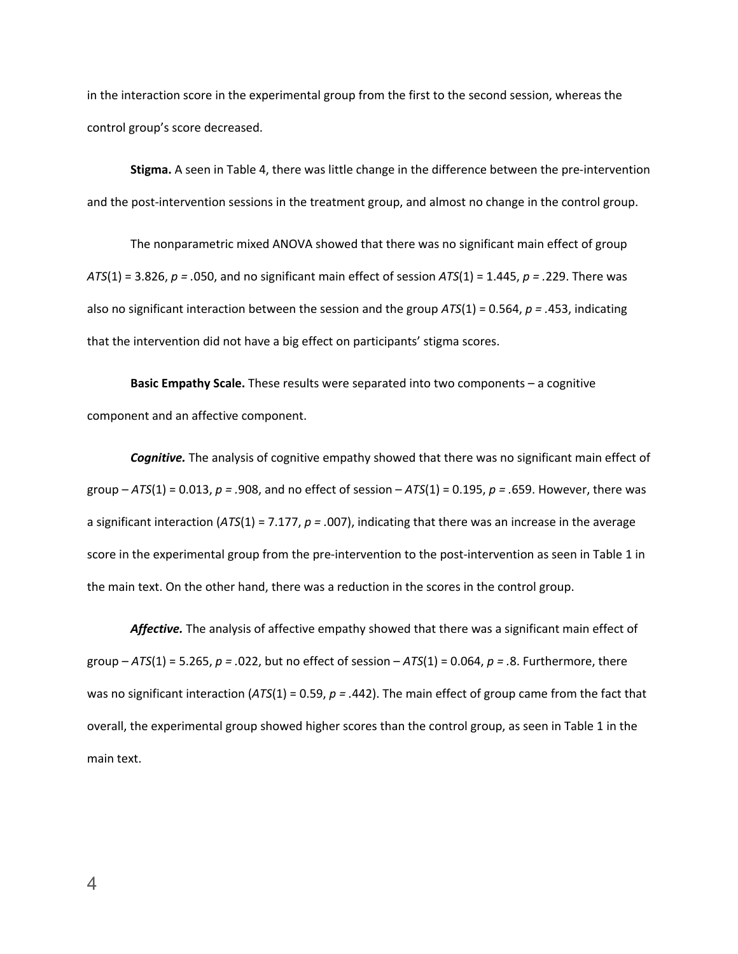in the interaction score in the experimental group from the first to the second session, whereas the control group's score decreased.

**Stigma.** A seen in Table 4, there was little change in the difference between the pre-intervention and the post-intervention sessions in the treatment group, and almost no change in the control group.

The nonparametric mixed ANOVA showed that there was no significant main effect of group *ATS*(1) = 3.826, *p = .*050, and no significant main effect of session *ATS*(1) = 1.445, *p = .*229. There was also no significant interaction between the session and the group *ATS*(1) = 0.564, *p = .*453, indicating that the intervention did not have a big effect on participants' stigma scores.

**Basic Empathy Scale.** These results were separated into two components – a cognitive component and an affective component.

*Cognitive.* The analysis of cognitive empathy showed that there was no significant main effect of group – *ATS*(1) = 0.013, *p = .*908, and no effect of session – *ATS*(1) = 0.195, *p = .*659. However, there was a significant interaction (*ATS*(1) = 7.177, *p = .*007), indicating that there was an increase in the average score in the experimental group from the pre-intervention to the post-intervention as seen in Table 1 in the main text. On the other hand, there was a reduction in the scores in the control group.

*Affective.* The analysis of affective empathy showed that there was a significant main effect of group – *ATS*(1) = 5.265, *p = .*022, but no effect of session – *ATS*(1) = 0.064, *p = .*8. Furthermore, there was no significant interaction (*ATS*(1) = 0.59, *p = .*442). The main effect of group came from the fact that overall, the experimental group showed higher scores than the control group, as seen in Table 1 in the main text.